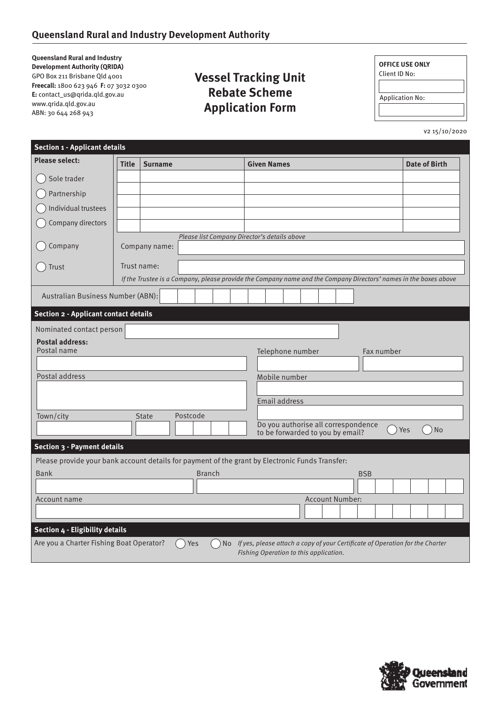**Queensland Rural and Industry Development Authority (QRIDA)** GPO Box 211 Brisbane Qld 4001 **Freecall:** 1800 623 946 **F:** 07 3032 0300 **E:** contact\_us@qrida.qld.gov.au www.qrida.qld.gov.au ABN: 30 644 268 943

## **Vessel Tracking Unit Rebate Scheme Application Form**

| <b>OFFICE USE ONLY</b><br>Client ID No: |  |
|-----------------------------------------|--|
|                                         |  |
| <b>Application No:</b>                  |  |
|                                         |  |

v2 15/10/2020

| <b>Section 1 - Applicant details</b>                                                                                                |               |                                                                                                 |                                                                                                                  |                      |  |  |
|-------------------------------------------------------------------------------------------------------------------------------------|---------------|-------------------------------------------------------------------------------------------------|------------------------------------------------------------------------------------------------------------------|----------------------|--|--|
| <b>Please select:</b>                                                                                                               | <b>Title</b>  | <b>Surname</b>                                                                                  | <b>Given Names</b>                                                                                               | <b>Date of Birth</b> |  |  |
| Sole trader                                                                                                                         |               |                                                                                                 |                                                                                                                  |                      |  |  |
| Partnership                                                                                                                         |               |                                                                                                 |                                                                                                                  |                      |  |  |
| Individual trustees                                                                                                                 |               |                                                                                                 |                                                                                                                  |                      |  |  |
| Company directors                                                                                                                   |               |                                                                                                 |                                                                                                                  |                      |  |  |
| Company                                                                                                                             |               | Please list Company Director's details above<br>Company name:                                   |                                                                                                                  |                      |  |  |
| Trust                                                                                                                               |               | Trust name:                                                                                     | If the Trustee is a Company, please provide the Company name and the Company Directors' names in the boxes above |                      |  |  |
|                                                                                                                                     |               |                                                                                                 |                                                                                                                  |                      |  |  |
| Australian Business Number (ABN):                                                                                                   |               |                                                                                                 |                                                                                                                  |                      |  |  |
| <b>Section 2 - Applicant contact details</b>                                                                                        |               |                                                                                                 |                                                                                                                  |                      |  |  |
| Nominated contact person                                                                                                            |               |                                                                                                 |                                                                                                                  |                      |  |  |
| <b>Postal address:</b><br>Postal name                                                                                               |               |                                                                                                 | Telephone number<br>Fax number                                                                                   |                      |  |  |
|                                                                                                                                     |               |                                                                                                 |                                                                                                                  |                      |  |  |
| Postal address<br>Mobile number                                                                                                     |               |                                                                                                 |                                                                                                                  |                      |  |  |
|                                                                                                                                     |               |                                                                                                 |                                                                                                                  |                      |  |  |
|                                                                                                                                     | Email address |                                                                                                 |                                                                                                                  |                      |  |  |
| Town/city<br><b>State</b><br>Postcode<br>Do you authorise all correspondence<br>Yes<br>No.<br>to be forwarded to you by email?      |               |                                                                                                 |                                                                                                                  |                      |  |  |
| Section 3 - Payment details                                                                                                         |               |                                                                                                 |                                                                                                                  |                      |  |  |
|                                                                                                                                     |               | Please provide your bank account details for payment of the grant by Electronic Funds Transfer: |                                                                                                                  |                      |  |  |
| <b>Bank</b>                                                                                                                         |               | <b>Branch</b>                                                                                   | <b>BSB</b>                                                                                                       |                      |  |  |
|                                                                                                                                     |               |                                                                                                 |                                                                                                                  |                      |  |  |
| Account name                                                                                                                        |               |                                                                                                 | <b>Account Number:</b>                                                                                           |                      |  |  |
| Section 4 - Eligibility details                                                                                                     |               |                                                                                                 |                                                                                                                  |                      |  |  |
| Are you a Charter Fishing Boat Operator?<br>No If yes, please attach a copy of your Certificate of Operation for the Charter<br>Yes |               |                                                                                                 |                                                                                                                  |                      |  |  |
| Fishing Operation to this application.                                                                                              |               |                                                                                                 |                                                                                                                  |                      |  |  |

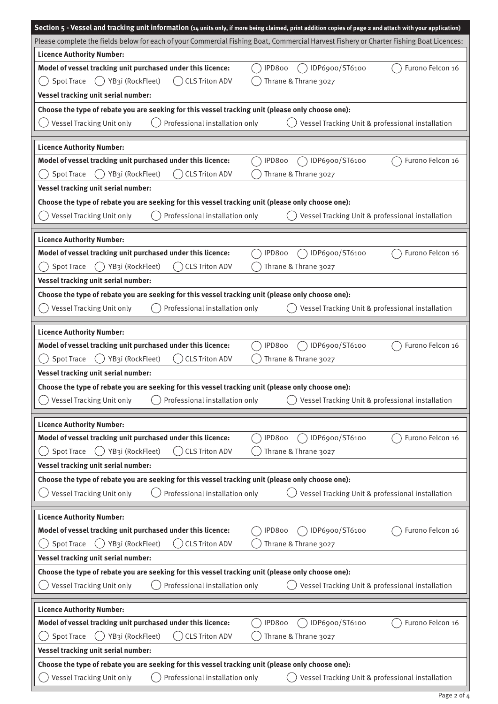|                                                                                                   | Section 5 - Vessel and tracking unit information (14 units only, if more being claimed, print addition copies of page 2 and attach with your application) |
|---------------------------------------------------------------------------------------------------|-----------------------------------------------------------------------------------------------------------------------------------------------------------|
|                                                                                                   | Please complete the fields below for each of your Commercial Fishing Boat, Commercial Harvest Fishery or Charter Fishing Boat Licences:                   |
| <b>Licence Authority Number:</b>                                                                  |                                                                                                                                                           |
| Model of vessel tracking unit purchased under this licence:                                       | IPD800<br>IDP6900/ST6100<br>Furono Felcon 16                                                                                                              |
| <b>CLS Triton ADV</b><br><b>Spot Trace</b><br>() YB3i (RockFleet)<br>$($ )                        | Thrane & Thrane 3027                                                                                                                                      |
| Vessel tracking unit serial number:                                                               |                                                                                                                                                           |
| Choose the type of rebate you are seeking for this vessel tracking unit (please only choose one): |                                                                                                                                                           |
| Professional installation only<br>Vessel Tracking Unit only                                       | Vessel Tracking Unit & professional installation                                                                                                          |
|                                                                                                   |                                                                                                                                                           |
| <b>Licence Authority Number:</b>                                                                  |                                                                                                                                                           |
| Model of vessel tracking unit purchased under this licence:                                       | IDP6900/ST6100<br>Furono Felcon 16<br>IPD800                                                                                                              |
| <b>Spot Trace</b><br>YB3i (RockFleet)<br><b>CLS Triton ADV</b>                                    | Thrane & Thrane 3027                                                                                                                                      |
| Vessel tracking unit serial number:                                                               |                                                                                                                                                           |
| Choose the type of rebate you are seeking for this vessel tracking unit (please only choose one): |                                                                                                                                                           |
| Vessel Tracking Unit only<br>Professional installation only                                       | Vessel Tracking Unit & professional installation                                                                                                          |
|                                                                                                   |                                                                                                                                                           |
| <b>Licence Authority Number:</b>                                                                  |                                                                                                                                                           |
| Model of vessel tracking unit purchased under this licence:                                       | IPD800<br>IDP6900/ST6100<br>Furono Felcon 16                                                                                                              |
| <b>Spot Trace</b><br><b>CLS Triton ADV</b><br>YB3i (RockFleet)                                    | Thrane & Thrane 3027                                                                                                                                      |
| Vessel tracking unit serial number:                                                               |                                                                                                                                                           |
| Choose the type of rebate you are seeking for this vessel tracking unit (please only choose one): |                                                                                                                                                           |
| Vessel Tracking Unit only<br>Professional installation only                                       | Vessel Tracking Unit & professional installation                                                                                                          |
|                                                                                                   |                                                                                                                                                           |
| <b>Licence Authority Number:</b>                                                                  |                                                                                                                                                           |
| Model of vessel tracking unit purchased under this licence:                                       | IDP6900/ST6100<br>Furono Felcon 16<br>IPD800                                                                                                              |
| <b>Spot Trace</b><br>YB3i (RockFleet)<br><b>CLS Triton ADV</b>                                    | Thrane & Thrane 3027                                                                                                                                      |
| Vessel tracking unit serial number:                                                               |                                                                                                                                                           |
| Choose the type of rebate you are seeking for this vessel tracking unit (please only choose one): |                                                                                                                                                           |
| Vessel Tracking Unit only $\bigcap$<br>Professional installation only                             | Vessel Tracking Unit & professional installation                                                                                                          |
|                                                                                                   |                                                                                                                                                           |
| <b>Licence Authority Number:</b>                                                                  |                                                                                                                                                           |
| Model of vessel tracking unit purchased under this licence:                                       | IDP6900/ST6100<br>Furono Felcon 16<br>IPD800                                                                                                              |
| <b>Spot Trace</b><br>YB3i (RockFleet)<br><b>CLS Triton ADV</b>                                    | Thrane & Thrane 3027                                                                                                                                      |
| Vessel tracking unit serial number:                                                               |                                                                                                                                                           |
| Choose the type of rebate you are seeking for this vessel tracking unit (please only choose one): |                                                                                                                                                           |
| Vessel Tracking Unit only<br>Professional installation only                                       | Vessel Tracking Unit & professional installation                                                                                                          |
|                                                                                                   |                                                                                                                                                           |
| <b>Licence Authority Number:</b>                                                                  |                                                                                                                                                           |
| Model of vessel tracking unit purchased under this licence:                                       | Furono Felcon 16<br>IPD800<br>IDP6900/ST6100                                                                                                              |
| <b>Spot Trace</b><br>YB3i (RockFleet)<br><b>CLS Triton ADV</b>                                    | Thrane & Thrane 3027                                                                                                                                      |
| Vessel tracking unit serial number:                                                               |                                                                                                                                                           |
| Choose the type of rebate you are seeking for this vessel tracking unit (please only choose one): |                                                                                                                                                           |
| Professional installation only<br>Vessel Tracking Unit only                                       | Vessel Tracking Unit & professional installation                                                                                                          |
|                                                                                                   |                                                                                                                                                           |
| <b>Licence Authority Number:</b>                                                                  |                                                                                                                                                           |
| Model of vessel tracking unit purchased under this licence:                                       | Furono Felcon 16<br>IPD800<br>IDP6900/ST6100                                                                                                              |
| <b>Spot Trace</b><br>YB3i (RockFleet)<br><b>CLS Triton ADV</b>                                    | Thrane & Thrane 3027                                                                                                                                      |
| Vessel tracking unit serial number:                                                               |                                                                                                                                                           |
| Choose the type of rebate you are seeking for this vessel tracking unit (please only choose one): |                                                                                                                                                           |
| Professional installation only<br>Vessel Tracking Unit only                                       | Vessel Tracking Unit & professional installation                                                                                                          |
|                                                                                                   |                                                                                                                                                           |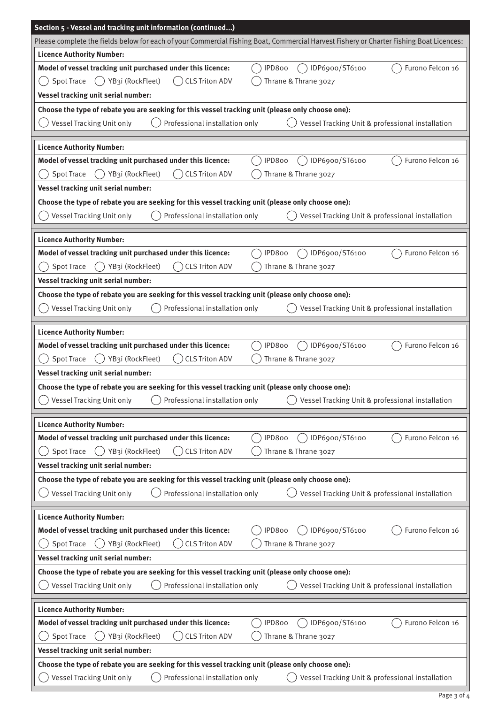| Section 5 - Vessel and tracking unit information (continued)                                                                                                |
|-------------------------------------------------------------------------------------------------------------------------------------------------------------|
| Please complete the fields below for each of your Commercial Fishing Boat, Commercial Harvest Fishery or Charter Fishing Boat Licences:                     |
| <b>Licence Authority Number:</b>                                                                                                                            |
| IDP6900/ST6100<br>Model of vessel tracking unit purchased under this licence:<br>Furono Felcon 16<br>IPD800                                                 |
| <b>Spot Trace</b><br>YB3i (RockFleet)<br><b>CLS Triton ADV</b><br>Thrane & Thrane 3027                                                                      |
| Vessel tracking unit serial number:                                                                                                                         |
| Choose the type of rebate you are seeking for this vessel tracking unit (please only choose one):                                                           |
| Professional installation only<br>Vessel Tracking Unit only<br>Vessel Tracking Unit & professional installation                                             |
|                                                                                                                                                             |
| <b>Licence Authority Number:</b>                                                                                                                            |
| Model of vessel tracking unit purchased under this licence:<br>IDP6900/ST6100<br>Furono Felcon 16<br>IPD800                                                 |
| <b>Spot Trace</b><br>YB3i (RockFleet)<br>Thrane & Thrane 3027<br><b>CLS Triton ADV</b>                                                                      |
| Vessel tracking unit serial number:                                                                                                                         |
| Choose the type of rebate you are seeking for this vessel tracking unit (please only choose one):                                                           |
| Vessel Tracking Unit only<br>Professional installation only<br>Vessel Tracking Unit & professional installation                                             |
| <b>Licence Authority Number:</b>                                                                                                                            |
| Furono Felcon 16<br>Model of vessel tracking unit purchased under this licence:<br>IDP6900/ST6100<br>IPD800                                                 |
| YB3i (RockFleet)<br><b>CLS Triton ADV</b><br>Thrane & Thrane 3027<br><b>Spot Trace</b>                                                                      |
|                                                                                                                                                             |
| Vessel tracking unit serial number:                                                                                                                         |
| Choose the type of rebate you are seeking for this vessel tracking unit (please only choose one):                                                           |
| Vessel Tracking Unit only<br>Professional installation only<br>Vessel Tracking Unit & professional installation                                             |
| <b>Licence Authority Number:</b>                                                                                                                            |
| Model of vessel tracking unit purchased under this licence:<br>IPD800<br>IDP6900/ST6100<br>Furono Felcon 16                                                 |
| () YB3i (RockFleet)<br><b>Spot Trace</b><br><b>CLS Triton ADV</b><br>Thrane & Thrane 3027                                                                   |
| Vessel tracking unit serial number:                                                                                                                         |
| Choose the type of rebate you are seeking for this vessel tracking unit (please only choose one):                                                           |
| <b>Vessel Tracking Unit only</b><br>Professional installation only<br>Vessel Tracking Unit & professional installation                                      |
|                                                                                                                                                             |
| <b>Licence Authority Number:</b>                                                                                                                            |
| Model of vessel tracking unit purchased under this licence:<br>IPD800<br>IDP6900/ST6100<br>Furono Felcon 16                                                 |
| <b>Spot Trace</b><br>YB3i (RockFleet)<br><b>CLS Triton ADV</b><br>Thrane & Thrane 3027                                                                      |
| Vessel tracking unit serial number:                                                                                                                         |
| Choose the type of rebate you are seeking for this vessel tracking unit (please only choose one):                                                           |
| Vessel Tracking Unit only<br>Professional installation only<br>Vessel Tracking Unit & professional installation                                             |
|                                                                                                                                                             |
| <b>Licence Authority Number:</b>                                                                                                                            |
| Model of vessel tracking unit purchased under this licence:<br>IDP6900/ST6100<br>Furono Felcon 16<br>IPD800                                                 |
| <b>Spot Trace</b><br>YB3i (RockFleet)<br><b>CLS Triton ADV</b><br>Thrane & Thrane 3027                                                                      |
| Vessel tracking unit serial number:                                                                                                                         |
| Choose the type of rebate you are seeking for this vessel tracking unit (please only choose one):                                                           |
| Vessel Tracking Unit only<br>Professional installation only<br>Vessel Tracking Unit & professional installation                                             |
|                                                                                                                                                             |
| <b>Licence Authority Number:</b><br>IDP6900/ST6100                                                                                                          |
| Model of vessel tracking unit purchased under this licence:<br>Furono Felcon 16<br>IPD800<br><b>Spot Trace</b><br>YB3i (RockFleet)<br><b>CLS Triton ADV</b> |
| Thrane & Thrane 3027                                                                                                                                        |
| Vessel tracking unit serial number:                                                                                                                         |
| Choose the type of rebate you are seeking for this vessel tracking unit (please only choose one):                                                           |
| Professional installation only<br>Vessel Tracking Unit only<br>Vessel Tracking Unit & professional installation                                             |